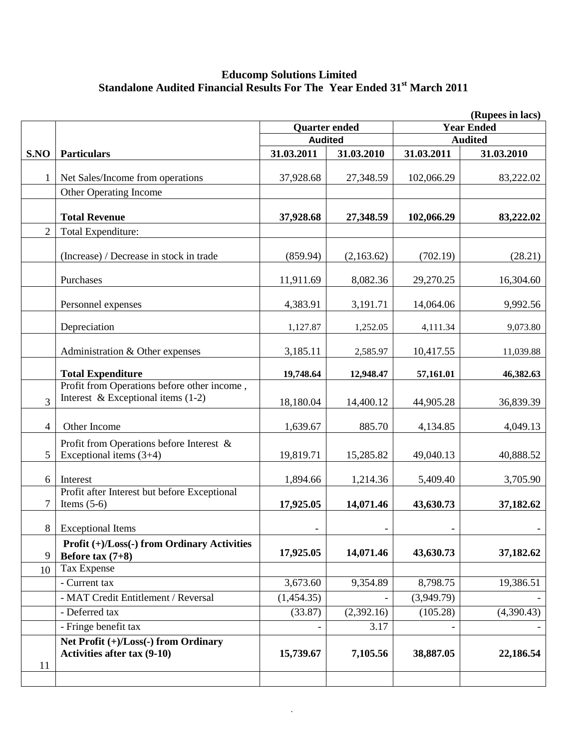### **Educomp Solutions Limited Standalone Audited Financial Results For The Year Ended 31st March 2011**

|                | (Rupees in lacs)                                                                    |                                           |            |                          |            |  |  |
|----------------|-------------------------------------------------------------------------------------|-------------------------------------------|------------|--------------------------|------------|--|--|
|                |                                                                                     | <b>Year Ended</b><br><b>Quarter ended</b> |            |                          |            |  |  |
|                |                                                                                     | <b>Audited</b>                            |            | <b>Audited</b>           |            |  |  |
| S.NO           | <b>Particulars</b>                                                                  | 31.03.2011                                | 31.03.2010 | 31.03.2011               | 31.03.2010 |  |  |
|                | Net Sales/Income from operations                                                    | 37,928.68                                 | 27,348.59  | 102,066.29               | 83,222.02  |  |  |
|                | Other Operating Income                                                              |                                           |            |                          |            |  |  |
|                | <b>Total Revenue</b>                                                                | 37,928.68                                 | 27,348.59  | 102,066.29               | 83,222.02  |  |  |
| $\overline{2}$ | Total Expenditure:                                                                  |                                           |            |                          |            |  |  |
|                | (Increase) / Decrease in stock in trade                                             | (859.94)                                  | (2,163.62) | (702.19)                 | (28.21)    |  |  |
|                | Purchases                                                                           | 11,911.69                                 | 8,082.36   | 29,270.25                | 16,304.60  |  |  |
|                | Personnel expenses                                                                  | 4,383.91                                  | 3,191.71   | 14,064.06                | 9,992.56   |  |  |
|                | Depreciation                                                                        | 1,127.87                                  | 1,252.05   | 4,111.34                 | 9,073.80   |  |  |
|                | Administration & Other expenses                                                     | 3,185.11                                  | 2,585.97   | 10,417.55                | 11,039.88  |  |  |
|                | <b>Total Expenditure</b>                                                            | 19,748.64                                 | 12,948.47  | 57,161.01                | 46,382.63  |  |  |
| 3              | Profit from Operations before other income,<br>Interest & Exceptional items $(1-2)$ | 18,180.04                                 | 14,400.12  | 44,905.28                | 36,839.39  |  |  |
| $\overline{4}$ | Other Income                                                                        | 1,639.67                                  | 885.70     | 4,134.85                 | 4,049.13   |  |  |
| 5              | Profit from Operations before Interest &<br>Exceptional items $(3+4)$               | 19,819.71                                 | 15,285.82  | 49,040.13                | 40,888.52  |  |  |
| 6              | Interest                                                                            | 1,894.66                                  | 1,214.36   | 5,409.40                 | 3,705.90   |  |  |
| 7              | Profit after Interest but before Exceptional<br>Items $(5-6)$                       | 17,925.05                                 | 14,071.46  | 43,630.73                | 37,182.62  |  |  |
| 8              | <b>Exceptional Items</b>                                                            | $\overline{\phantom{a}}$                  |            | $\overline{\phantom{a}}$ |            |  |  |
| 9              | Profit (+)/Loss(-) from Ordinary Activities<br>Before tax $(7+8)$                   | 17,925.05                                 | 14,071.46  | 43,630.73                | 37,182.62  |  |  |
| 10             | Tax Expense                                                                         |                                           |            |                          |            |  |  |
|                | - Current tax                                                                       | 3,673.60                                  | 9,354.89   | 8,798.75                 | 19,386.51  |  |  |
|                | - MAT Credit Entitlement / Reversal                                                 | (1,454.35)                                |            | (3,949.79)               |            |  |  |
|                | - Deferred tax                                                                      | (33.87)                                   | (2,392.16) | (105.28)                 | (4,390.43) |  |  |
|                | - Fringe benefit tax                                                                |                                           | 3.17       |                          |            |  |  |
| 11             | Net Profit (+)/Loss(-) from Ordinary<br><b>Activities after tax (9-10)</b>          | 15,739.67                                 | 7,105.56   | 38,887.05                | 22,186.54  |  |  |
|                |                                                                                     |                                           |            |                          |            |  |  |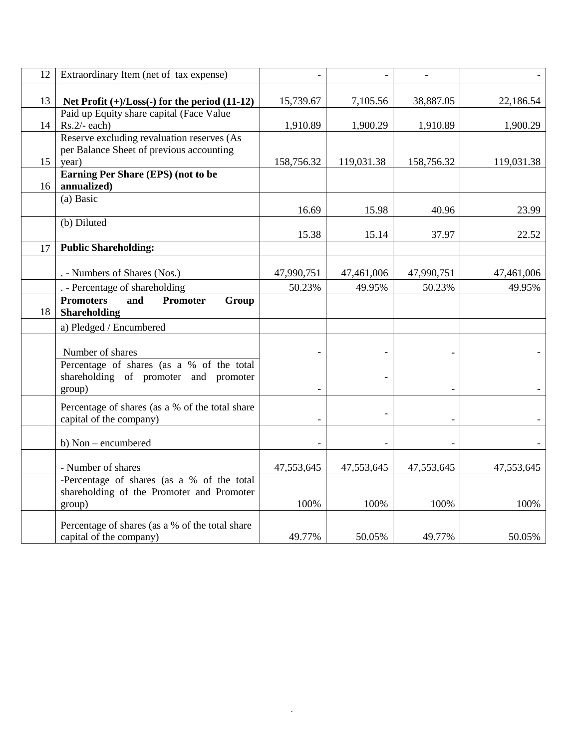| 12 | Extraordinary Item (net of tax expense)                                                                          | $\overline{\phantom{0}}$ | $\overline{\phantom{0}}$ | $\overline{a}$ |            |
|----|------------------------------------------------------------------------------------------------------------------|--------------------------|--------------------------|----------------|------------|
| 13 | Net Profit $(+)/$ Loss $(-)$ for the period $(11-12)$                                                            | 15,739.67                | 7,105.56                 | 38,887.05      | 22,186.54  |
| 14 | Paid up Equity share capital (Face Value<br>$Rs.2/- each)$                                                       | 1,910.89                 | 1,900.29                 | 1,910.89       | 1,900.29   |
|    | Reserve excluding revaluation reserves (As<br>per Balance Sheet of previous accounting                           |                          |                          |                |            |
| 15 | year)                                                                                                            | 158,756.32               | 119,031.38               | 158,756.32     | 119,031.38 |
| 16 | Earning Per Share (EPS) (not to be<br>annualized)                                                                |                          |                          |                |            |
|    | (a) Basic                                                                                                        | 16.69                    | 15.98                    | 40.96          | 23.99      |
|    | (b) Diluted                                                                                                      | 15.38                    | 15.14                    | 37.97          | 22.52      |
| 17 | <b>Public Shareholding:</b>                                                                                      |                          |                          |                |            |
|    | . - Numbers of Shares (Nos.)                                                                                     | 47,990,751               | 47,461,006               | 47,990,751     | 47,461,006 |
|    | . - Percentage of shareholding                                                                                   | 50.23%                   | 49.95%                   | 50.23%         | 49.95%     |
| 18 | <b>Promoters</b><br>Promoter<br>Group<br>and<br><b>Shareholding</b>                                              |                          |                          |                |            |
|    | a) Pledged / Encumbered                                                                                          |                          |                          |                |            |
|    | Number of shares<br>Percentage of shares (as a % of the total<br>shareholding of promoter and promoter<br>group) |                          |                          |                |            |
|    | Percentage of shares (as a % of the total share<br>capital of the company)                                       | $\overline{\phantom{a}}$ |                          |                |            |
|    | b) Non – encumbered                                                                                              |                          |                          |                |            |
|    | - Number of shares                                                                                               | 47,553,645               | 47,553,645               | 47,553,645     | 47,553,645 |
|    | -Percentage of shares (as a % of the total<br>shareholding of the Promoter and Promoter<br>group)                | 100%                     | 100%                     | 100%           | 100%       |
|    | Percentage of shares (as a % of the total share<br>capital of the company)                                       | 49.77%                   | 50.05%                   | 49.77%         | 50.05%     |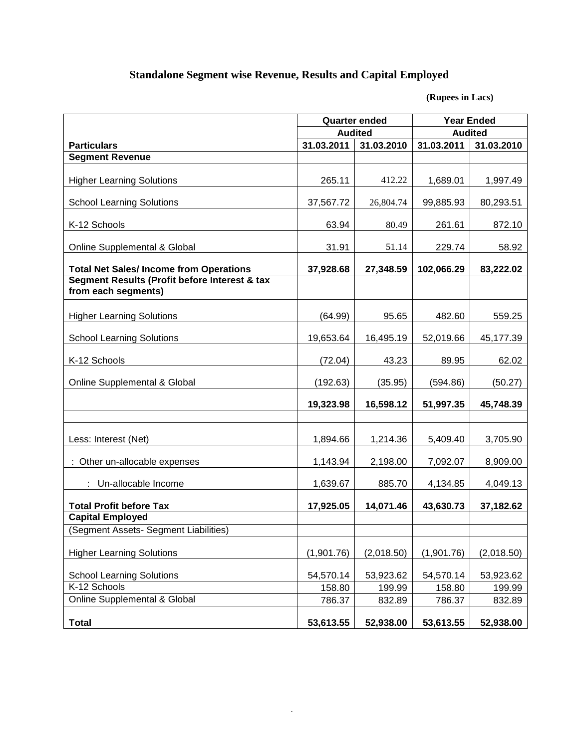# **Standalone Segment wise Revenue, Results and Capital Employed**

**(Rupees in Lacs)**

|                                                                      | <b>Quarter ended</b> |                | <b>Year Ended</b> |            |  |
|----------------------------------------------------------------------|----------------------|----------------|-------------------|------------|--|
|                                                                      |                      | <b>Audited</b> | <b>Audited</b>    |            |  |
| <b>Particulars</b>                                                   | 31.03.2011           | 31.03.2010     | 31.03.2011        | 31.03.2010 |  |
| <b>Segment Revenue</b>                                               |                      |                |                   |            |  |
| <b>Higher Learning Solutions</b>                                     | 265.11               | 412.22         | 1,689.01          | 1,997.49   |  |
| <b>School Learning Solutions</b>                                     | 37,567.72            | 26,804.74      | 99,885.93         | 80,293.51  |  |
| K-12 Schools                                                         | 63.94                | 80.49          | 261.61            | 872.10     |  |
| Online Supplemental & Global                                         | 31.91                | 51.14          | 229.74            | 58.92      |  |
| <b>Total Net Sales/Income from Operations</b>                        | 37,928.68            | 27,348.59      | 102,066.29        | 83,222.02  |  |
| Segment Results (Profit before Interest & tax<br>from each segments) |                      |                |                   |            |  |
| <b>Higher Learning Solutions</b>                                     | (64.99)              | 95.65          | 482.60            | 559.25     |  |
| <b>School Learning Solutions</b>                                     | 19,653.64            | 16,495.19      | 52,019.66         | 45,177.39  |  |
| K-12 Schools                                                         | (72.04)              | 43.23          | 89.95             | 62.02      |  |
| Online Supplemental & Global                                         | (192.63)             | (35.95)        | (594.86)          | (50.27)    |  |
|                                                                      | 19,323.98            | 16,598.12      | 51,997.35         | 45,748.39  |  |
|                                                                      |                      |                |                   |            |  |
| Less: Interest (Net)                                                 | 1,894.66             | 1,214.36       | 5,409.40          | 3,705.90   |  |
| Other un-allocable expenses                                          | 1,143.94             | 2,198.00       | 7,092.07          | 8,909.00   |  |
| : Un-allocable Income                                                | 1,639.67             | 885.70         | 4,134.85          | 4,049.13   |  |
| <b>Total Profit before Tax</b>                                       | 17,925.05            | 14,071.46      | 43,630.73         | 37,182.62  |  |
| <b>Capital Employed</b>                                              |                      |                |                   |            |  |
| (Segment Assets- Segment Liabilities)                                |                      |                |                   |            |  |
| <b>Higher Learning Solutions</b>                                     | (1,901.76)           | (2,018.50)     | (1,901.76)        | (2,018.50) |  |
| <b>School Learning Solutions</b>                                     | 54,570.14            | 53,923.62      | 54,570.14         | 53,923.62  |  |
| K-12 Schools                                                         | 158.80               | 199.99         | 158.80            | 199.99     |  |
| Online Supplemental & Global                                         | 786.37               | 832.89         | 786.37            | 832.89     |  |
| <b>Total</b>                                                         | 53,613.55            | 52,938.00      | 53,613.55         | 52,938.00  |  |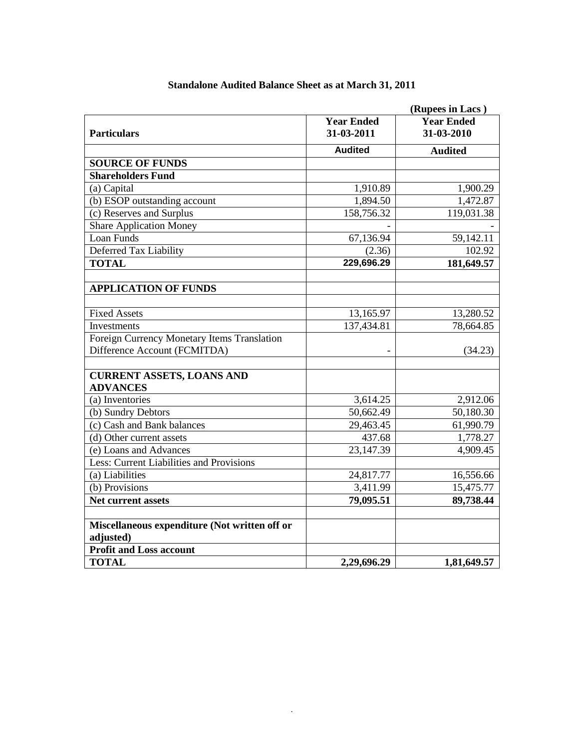|                                               |                                 | (Rupees in Lacs)                |  |
|-----------------------------------------------|---------------------------------|---------------------------------|--|
| <b>Particulars</b>                            | <b>Year Ended</b><br>31-03-2011 | <b>Year Ended</b><br>31-03-2010 |  |
|                                               | <b>Audited</b>                  | <b>Audited</b>                  |  |
| <b>SOURCE OF FUNDS</b>                        |                                 |                                 |  |
| <b>Shareholders Fund</b>                      |                                 |                                 |  |
| (a) Capital                                   | 1,910.89                        | 1,900.29                        |  |
| (b) ESOP outstanding account                  | 1,894.50                        | 1,472.87                        |  |
| (c) Reserves and Surplus                      | 158,756.32                      | 119,031.38                      |  |
| <b>Share Application Money</b>                |                                 |                                 |  |
| Loan Funds                                    | 67,136.94                       | 59,142.11                       |  |
| Deferred Tax Liability                        | (2.36)                          | 102.92                          |  |
| <b>TOTAL</b>                                  | 229,696.29                      | 181,649.57                      |  |
|                                               |                                 |                                 |  |
| <b>APPLICATION OF FUNDS</b>                   |                                 |                                 |  |
|                                               |                                 |                                 |  |
| <b>Fixed Assets</b>                           | 13,165.97                       | 13,280.52                       |  |
| Investments                                   | 137,434.81                      | 78,664.85                       |  |
| Foreign Currency Monetary Items Translation   |                                 |                                 |  |
| Difference Account (FCMITDA)                  |                                 | (34.23)                         |  |
|                                               |                                 |                                 |  |
| <b>CURRENT ASSETS, LOANS AND</b>              |                                 |                                 |  |
| <b>ADVANCES</b>                               |                                 |                                 |  |
| (a) Inventories                               | 3,614.25                        | 2,912.06                        |  |
| (b) Sundry Debtors                            | 50,662.49                       | 50,180.30                       |  |
| (c) Cash and Bank balances                    | 29,463.45                       | 61,990.79                       |  |
| (d) Other current assets                      | 437.68                          | 1,778.27                        |  |
| (e) Loans and Advances                        | 23, 147. 39                     | 4,909.45                        |  |
| Less: Current Liabilities and Provisions      |                                 |                                 |  |
| (a) Liabilities                               | 24,817.77                       | 16,556.66                       |  |
| (b) Provisions                                | 3,411.99                        | 15,475.77                       |  |
| Net current assets                            | 79,095.51                       | 89,738.44                       |  |
|                                               |                                 |                                 |  |
| Miscellaneous expenditure (Not written off or |                                 |                                 |  |
| adjusted)                                     |                                 |                                 |  |
| <b>Profit and Loss account</b>                |                                 |                                 |  |
| <b>TOTAL</b>                                  | 2,29,696.29                     | 1,81,649.57                     |  |

### **Standalone Audited Balance Sheet as at March 31, 2011**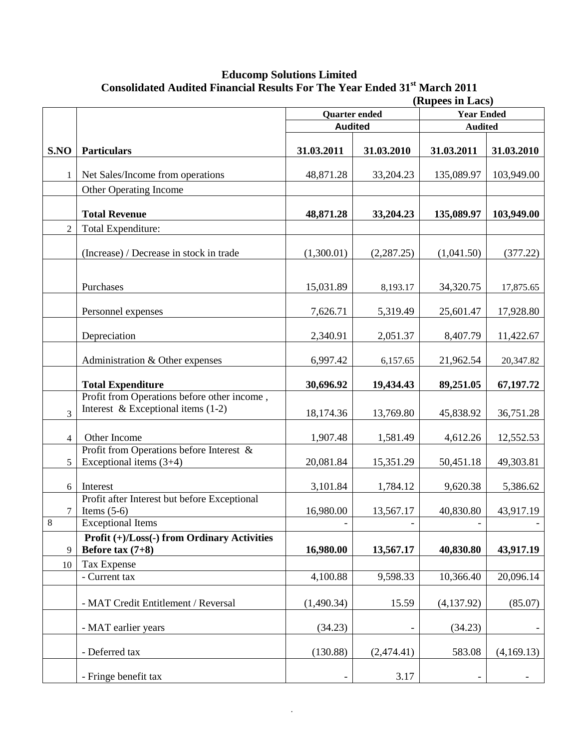### **Educomp Solutions Limited** Consolidated Audited Financial Results For The Year Ended 31<sup>st</sup> March 2011

|                |                                                                                     | (Rupees in Lacs)         |                          |                |            |
|----------------|-------------------------------------------------------------------------------------|--------------------------|--------------------------|----------------|------------|
|                |                                                                                     | <b>Quarter</b> ended     | <b>Year Ended</b>        |                |            |
|                |                                                                                     | <b>Audited</b>           |                          | <b>Audited</b> |            |
|                |                                                                                     |                          |                          |                |            |
| S.NO           | <b>Particulars</b>                                                                  | 31.03.2011               | 31.03.2010               | 31.03.2011     | 31.03.2010 |
| 1              | Net Sales/Income from operations                                                    | 48,871.28                | 33,204.23                | 135,089.97     | 103,949.00 |
|                | Other Operating Income                                                              |                          |                          |                |            |
|                | <b>Total Revenue</b>                                                                | 48,871.28                | 33,204.23                | 135,089.97     | 103,949.00 |
| $\overline{2}$ | Total Expenditure:                                                                  |                          |                          |                |            |
|                | (Increase) / Decrease in stock in trade                                             | (1,300.01)               | (2, 287.25)              | (1,041.50)     | (377.22)   |
|                | Purchases                                                                           | 15,031.89                | 8,193.17                 | 34,320.75      | 17,875.65  |
|                | Personnel expenses                                                                  | 7,626.71                 | 5,319.49                 | 25,601.47      | 17,928.80  |
|                | Depreciation                                                                        | 2,340.91                 | 2,051.37                 | 8,407.79       | 11,422.67  |
|                | Administration & Other expenses                                                     | 6,997.42                 | 6,157.65                 | 21,962.54      | 20,347.82  |
|                | <b>Total Expenditure</b>                                                            | 30,696.92                | 19,434.43                | 89,251.05      | 67,197.72  |
| 3              | Profit from Operations before other income,<br>Interest & Exceptional items $(1-2)$ | 18,174.36                | 13,769.80                | 45,838.92      | 36,751.28  |
| $\overline{4}$ | Other Income                                                                        | 1,907.48                 | 1,581.49                 | 4,612.26       | 12,552.53  |
| 5              | Profit from Operations before Interest &<br>Exceptional items $(3+4)$               | 20,081.84                | 15,351.29                | 50,451.18      | 49,303.81  |
| 6              | Interest                                                                            | 3,101.84                 | 1,784.12                 | 9,620.38       | 5,386.62   |
| 7              | Profit after Interest but before Exceptional<br>Items $(5-6)$                       | 16,980.00                | 13,567.17                | 40,830.80      | 43,917.19  |
| 8              | <b>Exceptional Items</b>                                                            | $\overline{\phantom{0}}$ | $\overline{\phantom{a}}$ | $\frac{1}{2}$  |            |
| 9              | Profit (+)/Loss(-) from Ordinary Activities<br>Before tax $(7+8)$                   | 16,980.00                | 13,567.17                | 40,830.80      | 43,917.19  |
| 10             | Tax Expense                                                                         |                          |                          |                |            |
|                | - Current tax                                                                       | 4,100.88                 | 9,598.33                 | 10,366.40      | 20,096.14  |
|                |                                                                                     |                          |                          |                |            |
|                | - MAT Credit Entitlement / Reversal                                                 | (1,490.34)               | 15.59                    | (4, 137.92)    | (85.07)    |
|                | - MAT earlier years                                                                 | (34.23)                  |                          | (34.23)        |            |
|                | - Deferred tax                                                                      | (130.88)                 | (2,474.41)               | 583.08         | (4,169.13) |
|                | - Fringe benefit tax                                                                |                          | 3.17                     |                |            |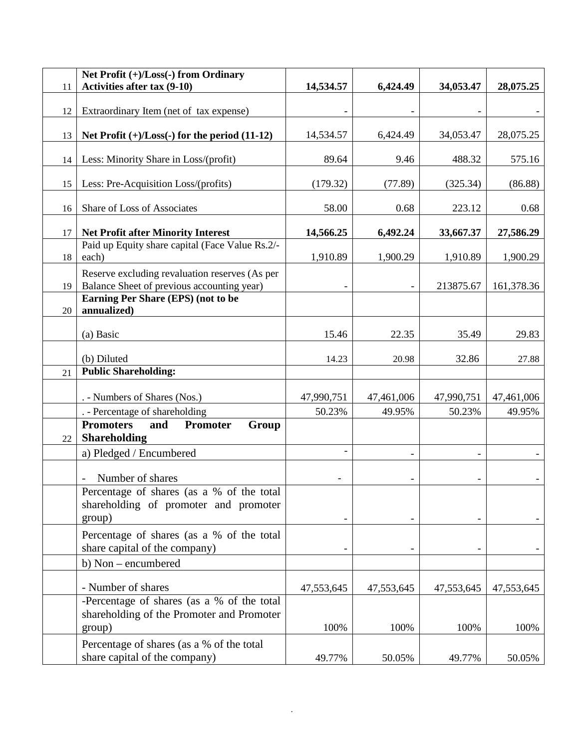| 11 | Net Profit $(+)/$ Loss $(-)$ from Ordinary<br>Activities after tax (9-10)                    | 14,534.57  | 6,424.49   | 34,053.47  | 28,075.25  |
|----|----------------------------------------------------------------------------------------------|------------|------------|------------|------------|
|    |                                                                                              |            |            |            |            |
| 12 | Extraordinary Item (net of tax expense)                                                      |            |            |            |            |
| 13 | Net Profit $(+)/$ Loss $(-)$ for the period $(11-12)$                                        | 14,534.57  | 6,424.49   | 34,053.47  | 28,075.25  |
| 14 | Less: Minority Share in Loss/(profit)                                                        | 89.64      | 9.46       | 488.32     | 575.16     |
| 15 | Less: Pre-Acquisition Loss/(profits)                                                         | (179.32)   | (77.89)    | (325.34)   | (86.88)    |
| 16 | Share of Loss of Associates                                                                  | 58.00      | 0.68       | 223.12     | 0.68       |
| 17 | <b>Net Profit after Minority Interest</b>                                                    | 14,566.25  | 6,492.24   | 33,667.37  | 27,586.29  |
| 18 | Paid up Equity share capital (Face Value Rs.2/-<br>each)                                     | 1,910.89   | 1,900.29   | 1,910.89   | 1,900.29   |
| 19 | Reserve excluding revaluation reserves (As per<br>Balance Sheet of previous accounting year) |            |            | 213875.67  | 161,378.36 |
| 20 | Earning Per Share (EPS) (not to be<br>annualized)                                            |            |            |            |            |
|    | (a) Basic                                                                                    | 15.46      | 22.35      | 35.49      | 29.83      |
|    | (b) Diluted                                                                                  | 14.23      | 20.98      | 32.86      | 27.88      |
| 21 | <b>Public Shareholding:</b>                                                                  |            |            |            |            |
|    | . - Numbers of Shares (Nos.)                                                                 | 47,990,751 | 47,461,006 | 47,990,751 | 47,461,006 |
|    | . - Percentage of shareholding                                                               | 50.23%     | 49.95%     | 50.23%     | 49.95%     |
| 22 | <b>Promoters</b><br>and<br>Promoter<br>Group<br><b>Shareholding</b>                          |            |            |            |            |
|    | a) Pledged / Encumbered                                                                      |            |            |            |            |
|    | Number of shares                                                                             |            |            |            |            |
|    | Percentage of shares (as a % of the total<br>shareholding of promoter and promoter<br>group) |            |            |            |            |
|    | Percentage of shares (as a % of the total<br>share capital of the company)                   |            |            |            |            |
|    | b) Non – encumbered                                                                          |            |            |            |            |
|    | - Number of shares                                                                           | 47,553,645 | 47,553,645 | 47,553,645 | 47,553,645 |
|    | -Percentage of shares (as a % of the total<br>shareholding of the Promoter and Promoter      | 100%       | 100%       | 100%       | 100%       |
|    | group)                                                                                       |            |            |            |            |
|    | Percentage of shares (as a % of the total<br>share capital of the company)                   | 49.77%     | 50.05%     | 49.77%     | 50.05%     |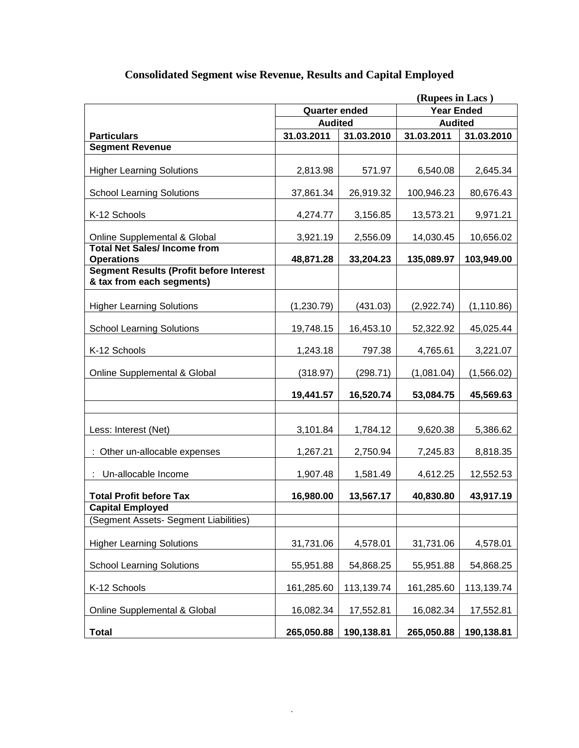|                                                                             | (Rupees in Lacs)                          |            |                |             |  |
|-----------------------------------------------------------------------------|-------------------------------------------|------------|----------------|-------------|--|
|                                                                             | <b>Year Ended</b><br><b>Quarter ended</b> |            |                |             |  |
|                                                                             | <b>Audited</b>                            |            | <b>Audited</b> |             |  |
| <b>Particulars</b>                                                          | 31.03.2011                                | 31.03.2010 | 31.03.2011     | 31.03.2010  |  |
| <b>Segment Revenue</b>                                                      |                                           |            |                |             |  |
| <b>Higher Learning Solutions</b>                                            | 2,813.98                                  | 571.97     | 6,540.08       | 2,645.34    |  |
| <b>School Learning Solutions</b>                                            | 37,861.34                                 | 26,919.32  | 100,946.23     | 80,676.43   |  |
| K-12 Schools                                                                | 4,274.77                                  | 3,156.85   | 13,573.21      | 9,971.21    |  |
| Online Supplemental & Global<br><b>Total Net Sales/Income from</b>          | 3,921.19                                  | 2,556.09   | 14,030.45      | 10,656.02   |  |
| <b>Operations</b>                                                           | 48,871.28                                 | 33,204.23  | 135,089.97     | 103,949.00  |  |
| <b>Segment Results (Profit before Interest</b><br>& tax from each segments) |                                           |            |                |             |  |
| <b>Higher Learning Solutions</b>                                            | (1,230.79)                                | (431.03)   | (2,922.74)     | (1, 110.86) |  |
| <b>School Learning Solutions</b>                                            | 19,748.15                                 | 16,453.10  | 52,322.92      | 45,025.44   |  |
| K-12 Schools                                                                | 1,243.18                                  | 797.38     | 4,765.61       | 3,221.07    |  |
| Online Supplemental & Global                                                | (318.97)                                  | (298.71)   | (1,081.04)     | (1,566.02)  |  |
|                                                                             | 19,441.57                                 | 16,520.74  | 53,084.75      | 45,569.63   |  |
|                                                                             |                                           |            |                |             |  |
| Less: Interest (Net)                                                        | 3,101.84                                  | 1,784.12   | 9,620.38       | 5,386.62    |  |
| : Other un-allocable expenses                                               | 1,267.21                                  | 2,750.94   | 7,245.83       | 8,818.35    |  |
| Un-allocable Income                                                         | 1,907.48                                  | 1,581.49   | 4,612.25       | 12,552.53   |  |
| <b>Total Profit before Tax</b><br><b>Capital Employed</b>                   | 16,980.00                                 | 13,567.17  | 40,830.80      | 43,917.19   |  |
| (Segment Assets- Segment Liabilities)                                       |                                           |            |                |             |  |
| <b>Higher Learning Solutions</b>                                            | 31,731.06                                 | 4,578.01   | 31,731.06      | 4,578.01    |  |
| <b>School Learning Solutions</b>                                            | 55,951.88                                 | 54,868.25  | 55,951.88      | 54,868.25   |  |
| K-12 Schools                                                                | 161,285.60                                | 113,139.74 | 161,285.60     | 113,139.74  |  |
| Online Supplemental & Global                                                | 16,082.34                                 | 17,552.81  | 16,082.34      | 17,552.81   |  |
| <b>Total</b>                                                                | 265,050.88                                | 190,138.81 | 265,050.88     | 190,138.81  |  |

# **Consolidated Segment wise Revenue, Results and Capital Employed**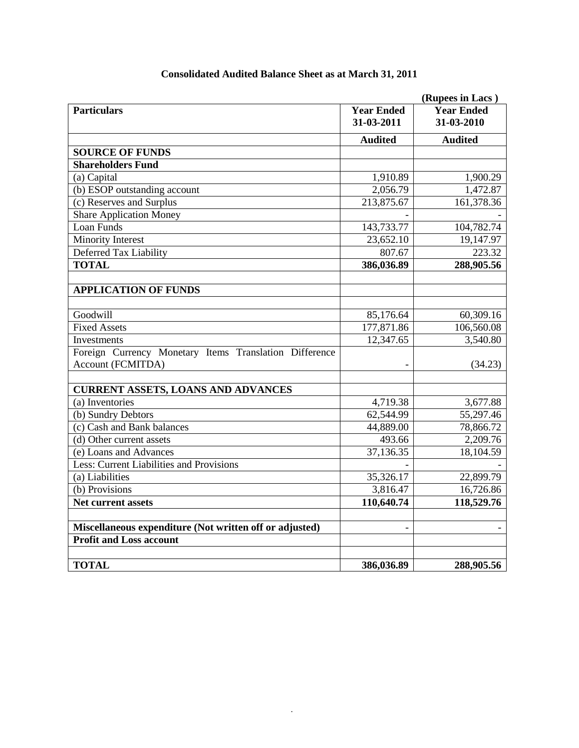|                                                         | (Rupees in Lacs)                |                                 |  |  |
|---------------------------------------------------------|---------------------------------|---------------------------------|--|--|
| <b>Particulars</b>                                      | <b>Year Ended</b><br>31-03-2011 | <b>Year Ended</b><br>31-03-2010 |  |  |
|                                                         | <b>Audited</b>                  | <b>Audited</b>                  |  |  |
| <b>SOURCE OF FUNDS</b>                                  |                                 |                                 |  |  |
| <b>Shareholders Fund</b>                                |                                 |                                 |  |  |
| (a) Capital                                             | 1,910.89                        | 1,900.29                        |  |  |
| (b) ESOP outstanding account                            | 2,056.79                        | 1,472.87                        |  |  |
| (c) Reserves and Surplus                                | 213,875.67                      | 161,378.36                      |  |  |
| <b>Share Application Money</b>                          |                                 |                                 |  |  |
| Loan Funds                                              | 143,733.77                      | 104,782.74                      |  |  |
| <b>Minority Interest</b>                                | 23,652.10                       | 19,147.97                       |  |  |
| Deferred Tax Liability                                  | 807.67                          | 223.32                          |  |  |
| <b>TOTAL</b>                                            | 386,036.89                      | 288,905.56                      |  |  |
| <b>APPLICATION OF FUNDS</b>                             |                                 |                                 |  |  |
| Goodwill                                                | 85,176.64                       | 60,309.16                       |  |  |
| <b>Fixed Assets</b>                                     | 177,871.86                      | 106,560.08                      |  |  |
| Investments                                             | 12,347.65                       | 3,540.80                        |  |  |
| Foreign Currency Monetary Items Translation Difference  |                                 |                                 |  |  |
| Account (FCMITDA)                                       |                                 | (34.23)                         |  |  |
| <b>CURRENT ASSETS, LOANS AND ADVANCES</b>               |                                 |                                 |  |  |
| (a) Inventories                                         | 4,719.38                        | 3,677.88                        |  |  |
| (b) Sundry Debtors                                      | 62,544.99                       | 55,297.46                       |  |  |
| (c) Cash and Bank balances                              | 44,889.00                       | 78,866.72                       |  |  |
| (d) Other current assets                                | 493.66                          | 2,209.76                        |  |  |
| (e) Loans and Advances                                  | 37,136.35                       | 18,104.59                       |  |  |
| Less: Current Liabilities and Provisions                |                                 |                                 |  |  |
| (a) Liabilities                                         | 35,326.17                       | 22,899.79                       |  |  |
| (b) Provisions                                          | 3,816.47                        | 16,726.86                       |  |  |
| Net current assets                                      | 110,640.74                      | 118,529.76                      |  |  |
| Miscellaneous expenditure (Not written off or adjusted) |                                 |                                 |  |  |
| <b>Profit and Loss account</b>                          |                                 |                                 |  |  |
| <b>TOTAL</b>                                            | 386,036.89                      | 288,905.56                      |  |  |
|                                                         |                                 |                                 |  |  |

## **Consolidated Audited Balance Sheet as at March 31, 2011**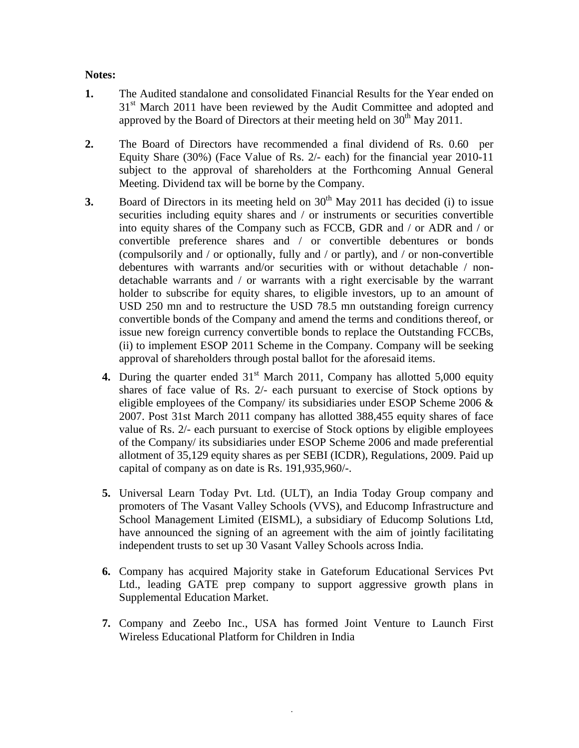### **Notes:**

- **1.** The Audited standalone and consolidated Financial Results for the Year ended on 31<sup>st</sup> March 2011 have been reviewed by the Audit Committee and adopted and approved by the Board of Directors at their meeting held on  $30<sup>th</sup>$  May 2011.
- **2.** The Board of Directors have recommended a final dividend of Rs. 0.60 per Equity Share (30%) (Face Value of Rs. 2/- each) for the financial year 2010-11 subject to the approval of shareholders at the Forthcoming Annual General Meeting. Dividend tax will be borne by the Company.
- **3.** Board of Directors in its meeting held on  $30<sup>th</sup>$  May 2011 has decided (i) to issue securities including equity shares and / or instruments or securities convertible into equity shares of the Company such as FCCB, GDR and / or ADR and / or convertible preference shares and / or convertible debentures or bonds (compulsorily and / or optionally, fully and / or partly), and / or non-convertible debentures with warrants and/or securities with or without detachable / nondetachable warrants and / or warrants with a right exercisable by the warrant holder to subscribe for equity shares, to eligible investors, up to an amount of USD 250 mn and to restructure the USD 78.5 mn outstanding foreign currency convertible bonds of the Company and amend the terms and conditions thereof, or issue new foreign currency convertible bonds to replace the Outstanding FCCBs, (ii) to implement ESOP 2011 Scheme in the Company. Company will be seeking approval of shareholders through postal ballot for the aforesaid items.
	- **4.** During the quarter ended 31<sup>st</sup> March 2011, Company has allotted 5,000 equity shares of face value of Rs. 2/- each pursuant to exercise of Stock options by eligible employees of the Company its subsidiaries under ESOP Scheme 2006  $\&$ 2007. Post 31st March 2011 company has allotted 388,455 equity shares of face value of Rs. 2/- each pursuant to exercise of Stock options by eligible employees of the Company/ its subsidiaries under ESOP Scheme 2006 and made preferential allotment of 35,129 equity shares as per SEBI (ICDR), Regulations, 2009. Paid up capital of company as on date is Rs. 191,935,960/-.
	- **5.** Universal Learn Today Pvt. Ltd. (ULT), an India Today Group company and promoters of The Vasant Valley Schools (VVS), and Educomp Infrastructure and School Management Limited (EISML), a subsidiary of Educomp Solutions Ltd, have announced the signing of an agreement with the aim of jointly facilitating independent trusts to set up 30 Vasant Valley Schools across India.
	- **6.** Company has acquired Majority stake in Gateforum Educational Services Pvt Ltd., leading GATE prep company to support aggressive growth plans in Supplemental Education Market.
	- **7.** Company and Zeebo Inc., USA has formed Joint Venture to Launch First Wireless Educational Platform for Children in India